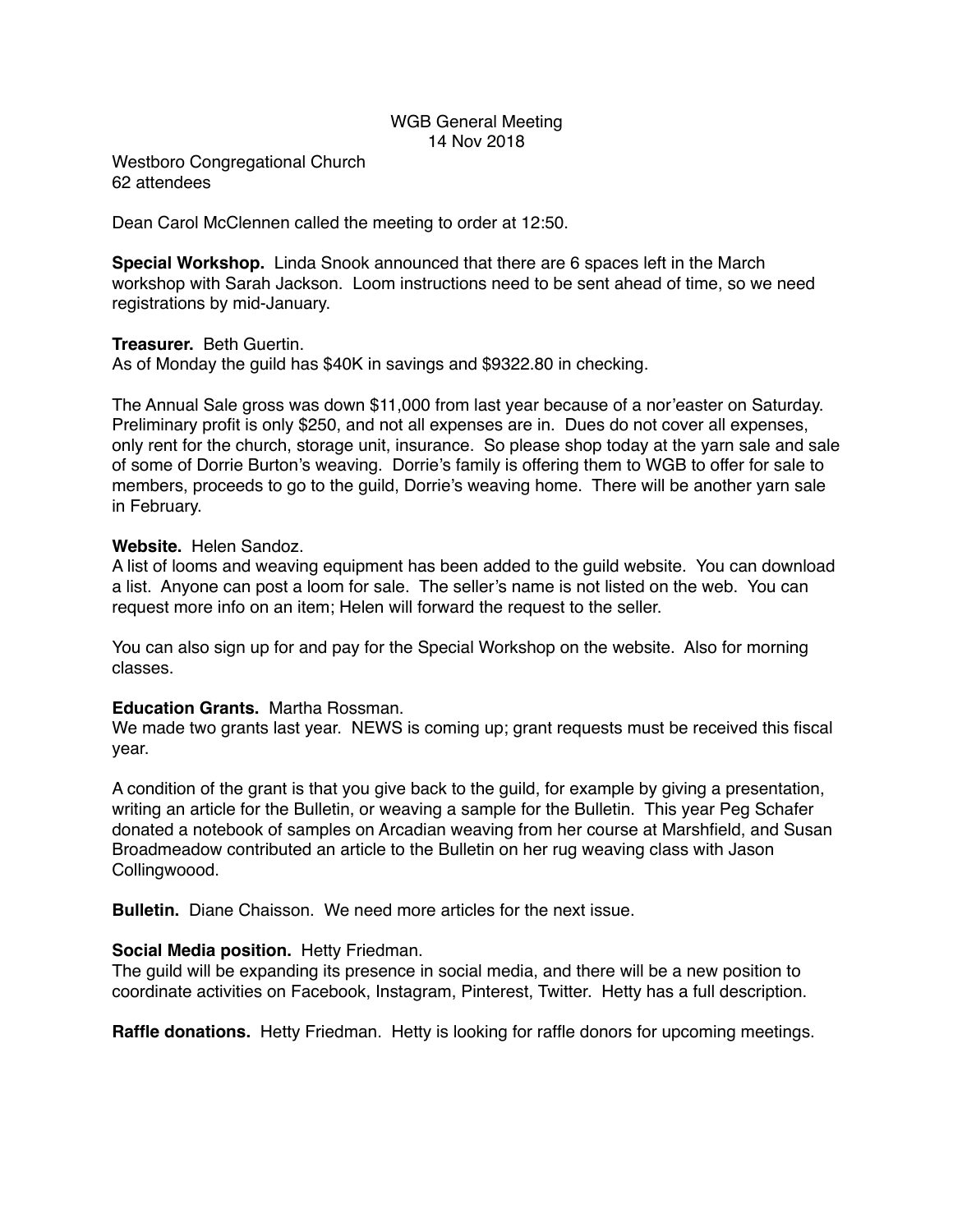# WGB General Meeting 14 Nov 2018

Westboro Congregational Church 62 attendees

Dean Carol McClennen called the meeting to order at 12:50.

**Special Workshop.** Linda Snook announced that there are 6 spaces left in the March workshop with Sarah Jackson. Loom instructions need to be sent ahead of time, so we need registrations by mid-January.

### **Treasurer.** Beth Guertin.

As of Monday the guild has \$40K in savings and \$9322.80 in checking.

The Annual Sale gross was down \$11,000 from last year because of a nor'easter on Saturday. Preliminary profit is only \$250, and not all expenses are in. Dues do not cover all expenses, only rent for the church, storage unit, insurance. So please shop today at the yarn sale and sale of some of Dorrie Burton's weaving. Dorrie's family is offering them to WGB to offer for sale to members, proceeds to go to the guild, Dorrie's weaving home. There will be another yarn sale in February.

### **Website.** Helen Sandoz.

A list of looms and weaving equipment has been added to the guild website. You can download a list. Anyone can post a loom for sale. The seller's name is not listed on the web. You can request more info on an item; Helen will forward the request to the seller.

You can also sign up for and pay for the Special Workshop on the website. Also for morning classes.

#### **Education Grants.** Martha Rossman.

We made two grants last year. NEWS is coming up; grant requests must be received this fiscal year.

A condition of the grant is that you give back to the guild, for example by giving a presentation, writing an article for the Bulletin, or weaving a sample for the Bulletin. This year Peg Schafer donated a notebook of samples on Arcadian weaving from her course at Marshfield, and Susan Broadmeadow contributed an article to the Bulletin on her rug weaving class with Jason Collingwoood.

**Bulletin.** Diane Chaisson. We need more articles for the next issue.

# **Social Media position.** Hetty Friedman.

The guild will be expanding its presence in social media, and there will be a new position to coordinate activities on Facebook, Instagram, Pinterest, Twitter. Hetty has a full description.

**Raffle donations.** Hetty Friedman. Hetty is looking for raffle donors for upcoming meetings.